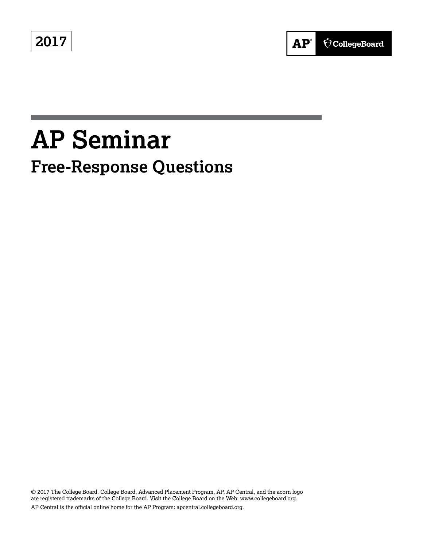**2017**



# **AP Seminar Free-Response Questions**

© 2017 The College Board. College Board, Advanced Placement Program, AP, AP Central, and the acorn logo are registered trademarks of the College Board. Visit the College Board on the Web: www.collegeboard.org. AP Central is the official online home for the AP Program: apcentral.collegeboard.org.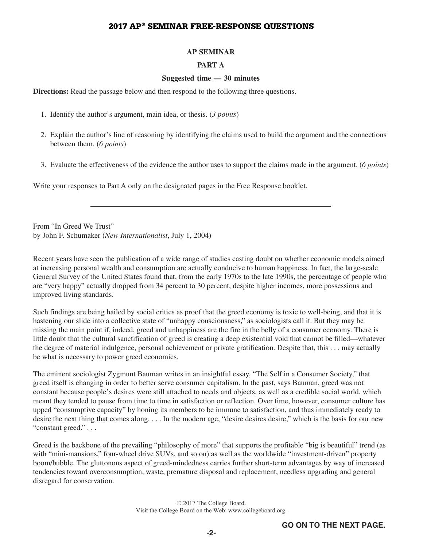#### **AP SEMINAR**

#### **PART A**

#### **Suggested time — 30 minutes**

**Directions:** Read the passage below and then respond to the following three questions.

- 1. Identify the author's argument, main idea, or thesis. (*3 points*)
- 2. Explain the author's line of reasoning by identifying the claims used to build the argument and the connections between them. (*6 points*)
- 3. Evaluate the effectiveness of the evidence the author uses to support the claims made in the argument. (*6 points*)

Write your responses to Part A only on the designated pages in the Free Response booklet.

From "In Greed We Trust" by John F. Schumaker (*New Internationalist*, July 1, 2004)

Recent years have seen the publication of a wide range of studies casting doubt on whether economic models aimed at increasing personal wealth and consumption are actually conducive to human happiness. In fact, the large-scale General Survey of the United States found that, from the early 1970s to the late 1990s, the percentage of people who are "very happy" actually dropped from 34 percent to 30 percent, despite higher incomes, more possessions and improved living standards.

Such findings are being hailed by social critics as proof that the greed economy is toxic to well-being, and that it is hastening our slide into a collective state of "unhappy consciousness," as sociologists call it. But they may be missing the main point if, indeed, greed and unhappiness are the fire in the belly of a consumer economy. There is little doubt that the cultural sanctification of greed is creating a deep existential void that cannot be filled—whatever the degree of material indulgence, personal achievement or private gratification. Despite that, this . . . may actually be what is necessary to power greed economics.

The eminent sociologist Zygmunt Bauman writes in an insightful essay, "The Self in a Consumer Society," that greed itself is changing in order to better serve consumer capitalism. In the past, says Bauman, greed was not constant because people's desires were still attached to needs and objects, as well as a credible social world, which meant they tended to pause from time to time in satisfaction or reflection. Over time, however, consumer culture has upped "consumptive capacity" by honing its members to be immune to satisfaction, and thus immediately ready to desire the next thing that comes along. . . . In the modern age, "desire desires desire," which is the basis for our new "constant greed."...

Greed is the backbone of the prevailing "philosophy of more" that supports the profitable "big is beautiful" trend (as with "mini-mansions," four-wheel drive SUVs, and so on) as well as the worldwide "investment-driven" property boom/bubble. The gluttonous aspect of greed-mindedness carries further short-term advantages by way of increased tendencies toward overconsumption, waste, premature disposal and replacement, needless upgrading and general disregard for conservation.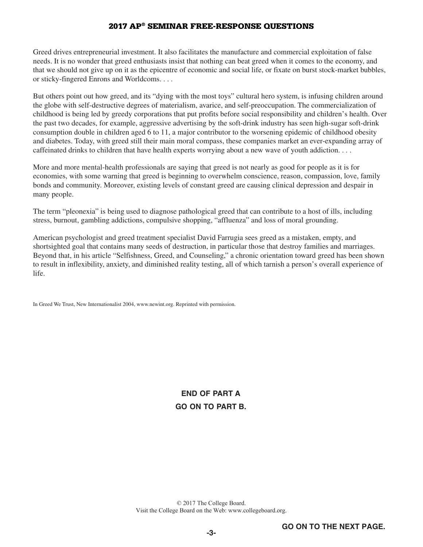Greed drives entrepreneurial investment. It also facilitates the manufacture and commercial exploitation of false needs. It is no wonder that greed enthusiasts insist that nothing can beat greed when it comes to the economy, and that we should not give up on it as the epicentre of economic and social life, or fixate on burst stock-market bubbles, or sticky-fingered Enrons and Worldcoms....

But others point out how greed, and its "dying with the most toys" cultural hero system, is infusing children around the globe with self-destructive degrees of materialism, avarice, and self-preoccupation. The commercialization of childhood is being led by greedy corporations that put profits before social responsibility and children's health. Over the past two decades, for example, aggressive advertising by the soft-drink industry has seen high-sugar soft-drink consumption double in children aged 6 to 11, a major contributor to the worsening epidemic of childhood obesity and diabetes. Today, with greed still their main moral compass, these companies market an ever-expanding array of caffeinated drinks to children that have health experts worrying about a new wave of youth addiction....

More and more mental-health professionals are saying that greed is not nearly as good for people as it is for economies, with some warning that greed is beginning to overwhelm conscience, reason, compassion, love, family bonds and community. Moreover, existing levels of constant greed are causing clinical depression and despair in many people.

The term "pleonexia" is being used to diagnose pathological greed that can contribute to a host of ills, including stress, burnout, gambling addictions, compulsive shopping, "affluenza" and loss of moral grounding.

American psychologist and greed treatment specialist David Farrugia sees greed as a mistaken, empty, and shortsighted goal that contains many seeds of destruction, in particular those that destroy families and marriages. Beyond that, in his article "Selfishness, Greed, and Counseling," a chronic orientation toward greed has been shown to result in inflexibility, anxiety, and diminished reality testing, all of which tarnish a person's overall experience of life.

In Greed We Trust, New Internationalist 2004, www.newint.org. Reprinted with permission.

**END OF PART A GO ON TO PART B.**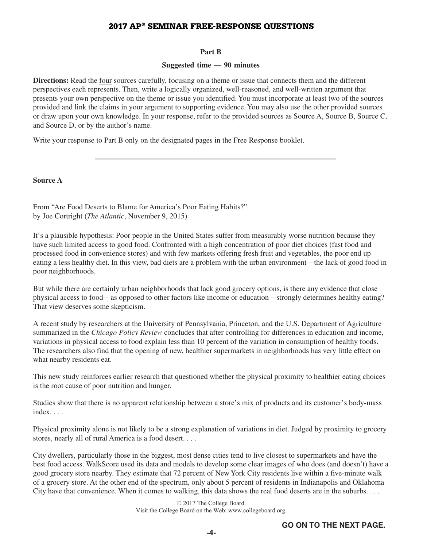#### **Part B**

#### **Suggested time — 90 minutes**

**Directions:** Read the four sources carefully, focusing on a theme or issue that connects them and the different perspectives each represents. Then, write a logically organized, well-reasoned, and well-written argument that presents your own perspective on the theme or issue you identified. You must incorporate at least two of the sources provided and link the claims in your argument to supporting evidence. You may also use the other provided sources or draw upon your own knowledge. In your response, refer to the provided sources as Source A, Source B, Source C, and Source D, or by the author's name.

Write your response to Part B only on the designated pages in the Free Response booklet.

**Source A** 

From "Are Food Deserts to Blame for America's Poor Eating Habits?" by Joe Cortright (*The Atlantic*, November 9, 2015)

It's a plausible hypothesis: Poor people in the United States suffer from measurably worse nutrition because they have such limited access to good food. Confronted with a high concentration of poor diet choices (fast food and processed food in convenience stores) and with few markets offering fresh fruit and vegetables, the poor end up eating a less healthy diet. In this view, bad diets are a problem with the urban environment—the lack of good food in poor neighborhoods.

But while there are certainly urban neighborhoods that lack good grocery options, is there any evidence that close physical access to food—as opposed to other factors like income or education—strongly determines healthy eating? That view deserves some skepticism.

A recent study by researchers at the University of Pennsylvania, Princeton, and the U.S. Department of Agriculture summarized in the *Chicago Policy Review* concludes that after controlling for differences in education and income, variations in physical access to food explain less than 10 percent of the variation in consumption of healthy foods. The researchers also find that the opening of new, healthier supermarkets in neighborhoods has very little effect on what nearby residents eat.

This new study reinforces earlier research that questioned whether the physical proximity to healthier eating choices is the root cause of poor nutrition and hunger.

Studies show that there is no apparent relationship between a store's mix of products and its customer's body-mass index...

Physical proximity alone is not likely to be a strong explanation of variations in diet. Judged by proximity to grocery stores, nearly all of rural America is a food desert....

City dwellers, particularly those in the biggest, most dense cities tend to live closest to supermarkets and have the best food access. WalkScore used its data and models to develop some clear images of who does (and doesn't) have a good grocery store nearby. They estimate that 72 percent of New York City residents live within a five-minute walk of a grocery store. At the other end of the spectrum, only about 5 percent of residents in Indianapolis and Oklahoma City have that convenience. When it comes to walking, this data shows the real food deserts are in the suburbs....

> © 2017 The College Board. Visit the College Board on the Web: www.collegeboard.org.

**-4-**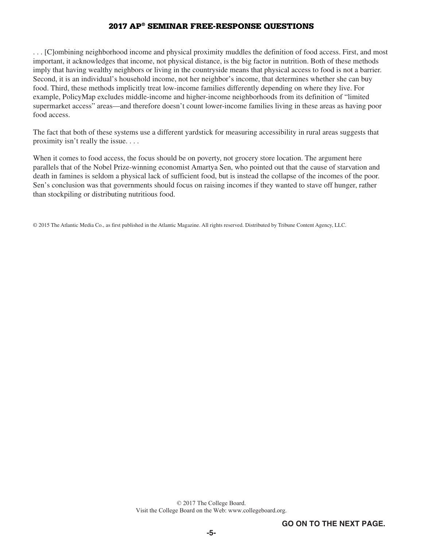. . . [C]ombining neighborhood income and physical proximity muddles the definition of food access. First, and most important, it acknowledges that income, not physical distance, is the big factor in nutrition. Both of these methods imply that having wealthy neighbors or living in the countryside means that physical access to food is not a barrier. Second, it is an individual's household income, not her neighbor's income, that determines whether she can buy food. Third, these methods implicitly treat low-income families differently depending on where they live. For example, PolicyMap excludes middle-income and higher-income neighborhoods from its definition of "limited supermarket access" areas—and therefore doesn't count lower-income families living in these areas as having poor food access.

The fact that both of these systems use a different yardstick for measuring accessibility in rural areas suggests that proximity isn't really the issue....

When it comes to food access, the focus should be on poverty, not grocery store location. The argument here parallels that of the Nobel Prize-winning economist Amartya Sen, who pointed out that the cause of starvation and death in famines is seldom a physical lack of sufficient food, but is instead the collapse of the incomes of the poor. Sen's conclusion was that governments should focus on raising incomes if they wanted to stave off hunger, rather than stockpiling or distributing nutritious food.

© 2015 The Atlantic Media Co., as first published in the Atlantic Magazine. All rights reserved. Distributed by Tribune Content Agency, LLC.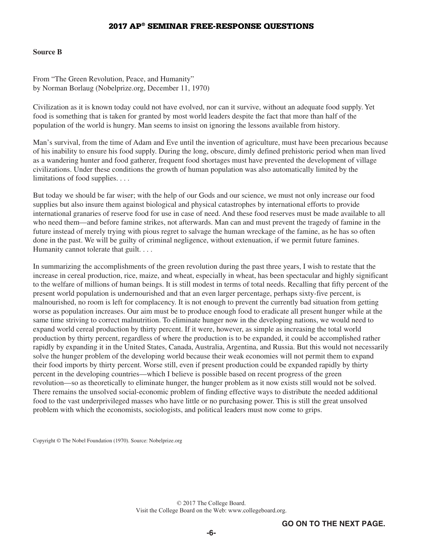#### **Source B**

From "The Green Revolution, Peace, and Humanity" by Norman Borlaug (Nobelprize.org, December 11, 1970)

Civilization as it is known today could not have evolved, nor can it survive, without an adequate food supply. Yet food is something that is taken for granted by most world leaders despite the fact that more than half of the population of the world is hungry. Man seems to insist on ignoring the lessons available from history.

Man's survival, from the time of Adam and Eve until the invention of agriculture, must have been precarious because of his inability to ensure his food supply. During the long, obscure, dimly defined prehistoric period when man lived as a wandering hunter and food gatherer, frequent food shortages must have prevented the development of village civilizations. Under these conditions the growth of human population was also automatically limited by the limitations of food supplies....

But today we should be far wiser; with the help of our Gods and our science, we must not only increase our food supplies but also insure them against biological and physical catastrophes by international efforts to provide international granaries of reserve food for use in case of need. And these food reserves must be made available to all who need them—and before famine strikes, not afterwards. Man can and must prevent the tragedy of famine in the future instead of merely trying with pious regret to salvage the human wreckage of the famine, as he has so often done in the past. We will be guilty of criminal negligence, without extenuation, if we permit future famines. Humanity cannot tolerate that guilt....

In summarizing the accomplishments of the green revolution during the past three years, I wish to restate that the increase in cereal production, rice, maize, and wheat, especially in wheat, has been spectacular and highly significant to the welfare of millions of human beings. It is still modest in terms of total needs. Recalling that fifty percent of the present world population is undernourished and that an even larger percentage, perhaps sixty-five percent, is malnourished, no room is left for complacency. It is not enough to prevent the currently bad situation from getting worse as population increases. Our aim must be to produce enough food to eradicate all present hunger while at the same time striving to correct malnutrition. To eliminate hunger now in the developing nations, we would need to expand world cereal production by thirty percent. If it were, however, as simple as increasing the total world production by thirty percent, regardless of where the production is to be expanded, it could be accomplished rather rapidly by expanding it in the United States, Canada, Australia, Argentina, and Russia. But this would not necessarily solve the hunger problem of the developing world because their weak economies will not permit them to expand their food imports by thirty percent. Worse still, even if present production could be expanded rapidly by thirty percent in the developing countries—which I believe is possible based on recent progress of the green revolution—so as theoretically to eliminate hunger, the hunger problem as it now exists still would not be solved. There remains the unsolved social-economic problem of finding effective ways to distribute the needed additional food to the vast underprivileged masses who have little or no purchasing power. This is still the great unsolved problem with which the economists, sociologists, and political leaders must now come to grips.

Copyright © The Nobel Foundation (1970). Source: Nobelprize.org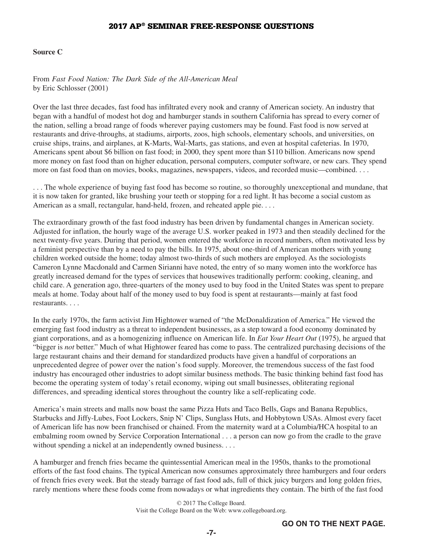#### **Source C**

From *Fast Food Nation: The Dark Side of the All-American Meal*  by Eric Schlosser (2001)

Over the last three decades, fast food has infiltrated every nook and cranny of American society. An industry that began with a handful of modest hot dog and hamburger stands in southern California has spread to every corner of the nation, selling a broad range of foods wherever paying customers may be found. Fast food is now served at restaurants and drive-throughs, at stadiums, airports, zoos, high schools, elementary schools, and universities, on cruise ships, trains, and airplanes, at K-Marts, Wal-Marts, gas stations, and even at hospital cafeterias. In 1970, Americans spent about \$6 billion on fast food; in 2000, they spent more than \$110 billion. Americans now spend more money on fast food than on higher education, personal computers, computer software, or new cars. They spend more on fast food than on movies, books, magazines, newspapers, videos, and recorded music—combined....

. . . The whole experience of buying fast food has become so routine, so thoroughly unexceptional and mundane, that it is now taken for granted, like brushing your teeth or stopping for a red light. It has become a social custom as American as a small, rectangular, hand-held, frozen, and reheated apple pie....

The extraordinary growth of the fast food industry has been driven by fundamental changes in American society. Adjusted for inflation, the hourly wage of the average U.S. worker peaked in 1973 and then steadily declined for the next twenty-five years. During that period, women entered the workforce in record numbers, often motivated less by a feminist perspective than by a need to pay the bills. In 1975, about one-third of American mothers with young children worked outside the home; today almost two-thirds of such mothers are employed. As the sociologists Cameron Lynne Macdonald and Carmen Sirianni have noted, the entry of so many women into the workforce has greatly increased demand for the types of services that housewives traditionally perform: cooking, cleaning, and child care. A generation ago, three-quarters of the money used to buy food in the United States was spent to prepare meals at home. Today about half of the money used to buy food is spent at restaurants—mainly at fast food restaurants....

In the early 1970s, the farm activist Jim Hightower warned of "the McDonaldization of America." He viewed the emerging fast food industry as a threat to independent businesses, as a step toward a food economy dominated by giant corporations, and as a homogenizing influence on American life. In *Eat Your Heart Out* (1975), he argued that "bigger is *not* better." Much of what Hightower feared has come to pass. The centralized purchasing decisions of the large restaurant chains and their demand for standardized products have given a handful of corporations an unprecedented degree of power over the nation's food supply. Moreover, the tremendous success of the fast food industry has encouraged other industries to adopt similar business methods. The basic thinking behind fast food has become the operating system of today's retail economy, wiping out small businesses, obliterating regional differences, and spreading identical stores throughout the country like a self-replicating code.

America's main streets and malls now boast the same Pizza Huts and Taco Bells, Gaps and Banana Republics, Starbucks and Jiffy-Lubes, Foot Lockers, Snip N' Clips, Sunglass Huts, and Hobbytown USAs. Almost every facet of American life has now been franchised or chained. From the maternity ward at a Columbia/HCA hospital to an embalming room owned by Service Corporation International . . . a person can now go from the cradle to the grave without spending a nickel at an independently owned business....

A hamburger and french fries became the quintessential American meal in the 1950s, thanks to the promotional efforts of the fast food chains. The typical American now consumes approximately three hamburgers and four orders of french fries every week. But the steady barrage of fast food ads, full of thick juicy burgers and long golden fries, rarely mentions where these foods come from nowadays or what ingredients they contain. The birth of the fast food

> © 2017 The College Board. Visit the College Board on the Web: www.collegeboard.org.

**-7-**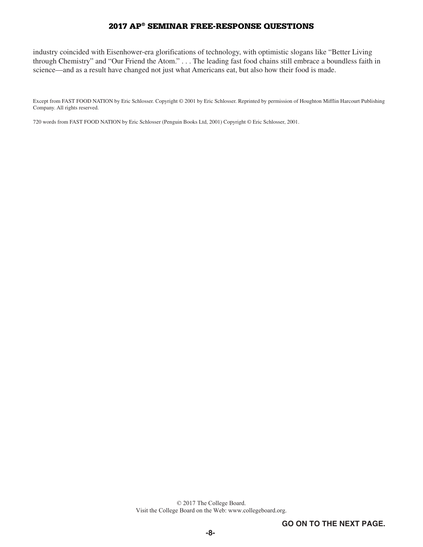industry coincided with Eisenhower-era glorifications of technology, with optimistic slogans like "Better Living through Chemistry" and "Our Friend the Atom." . . . The leading fast food chains still embrace a boundless faith in science—and as a result have changed not just what Americans eat, but also how their food is made.

Except from FAST FOOD NATION by Eric Schlosser. Copyright © 2001 by Eric Schlosser. Reprinted by permission of Houghton Mifflin Harcourt Publishing Company. All rights reserved.

720 words from FAST FOOD NATION by Eric Schlosser (Penguin Books Ltd, 2001) Copyright © Eric Schlosser, 2001.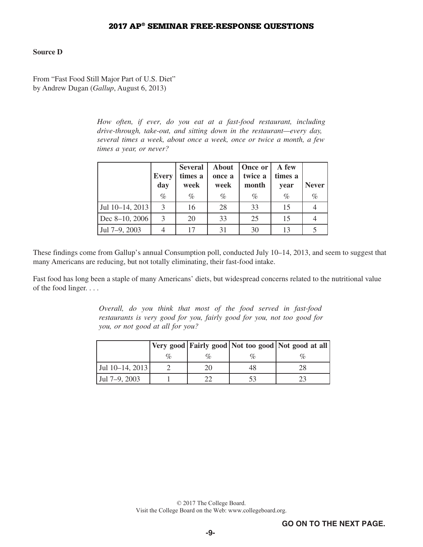## **Source D**

From "Fast Food Still Major Part of U.S. Diet" by Andrew Dugan (*Gallup*, August 6, 2013)

> *How often, if ever, do you eat at a fast-food restaurant, including drive-through, take-out, and sitting down in the restaurant—every day, several times a week, about once a week, once or twice a month, a few times a year, or never?*

|                 | <b>Every</b><br>day | <b>Several</b><br>times a<br>week | <b>About</b><br>once a<br>week | <b>Once or</b><br>twice a<br>month | A few<br>times a<br>year | <b>Never</b> |
|-----------------|---------------------|-----------------------------------|--------------------------------|------------------------------------|--------------------------|--------------|
|                 | $\%$                | $\%$                              | $\%$                           | $\%$                               | $\%$                     | $\%$         |
| Jul 10–14, 2013 | 3                   | 16                                | 28                             | 33                                 | 15                       |              |
| Dec 8-10, 2006  | 3                   | 20                                | 33                             | 25                                 | 15                       |              |
| Jul 7-9, 2003   |                     | 17                                | 31                             | 30                                 | 13                       |              |

These findings come from Gallup's annual Consumption poll, conducted July 10–14, 2013, and seem to suggest that many Americans are reducing, but not totally eliminating, their fast-food intake.

Fast food has long been a staple of many Americans' diets, but widespread concerns related to the nutritional value of the food linger....

> *Overall, do you think that most of the food served in fast-food restaurants is very good for you, fairly good for you, not too good for you, or not good at all for you?*

|                 |                             |  | Very good Fairly good Not too good Not good at all |
|-----------------|-----------------------------|--|----------------------------------------------------|
|                 | $\mathcal{O}_{\mathcal{D}}$ |  |                                                    |
| Jul 10–14, 2013 |                             |  |                                                    |
| Jul 7–9, 2003   |                             |  |                                                    |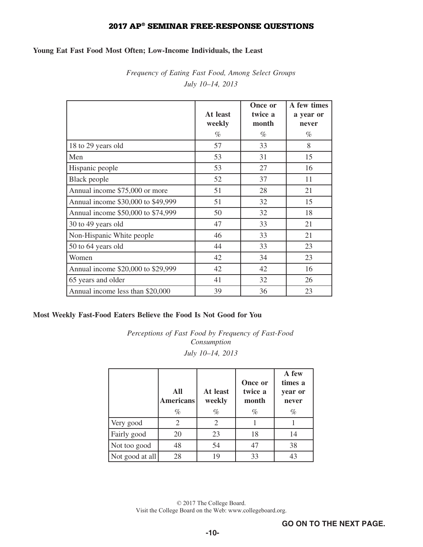## **Young Eat Fast Food Most Often; Low-Income Individuals, the Least**

*Frequency of Eating Fast Food, Among Select Groups July 10–14, 2013* 

|                                    | At least<br>weekly | Once or<br>twice a<br>month | A few times<br>a year or<br>never |
|------------------------------------|--------------------|-----------------------------|-----------------------------------|
|                                    | $\%$               | $\%$                        | $\%$                              |
| 18 to 29 years old                 | 57                 | 33                          | 8                                 |
| Men                                | 53                 | 31                          | 15                                |
| Hispanic people                    | 53                 | 27                          | 16                                |
| <b>Black</b> people                | 52                 | 37                          | 11                                |
| Annual income \$75,000 or more     | 51                 | 28                          | 21                                |
| Annual income \$30,000 to \$49,999 | 51                 | 32                          | 15                                |
| Annual income \$50,000 to \$74,999 | 50                 | 32                          | 18                                |
| 30 to 49 years old                 | 47                 | 33                          | 21                                |
| Non-Hispanic White people          | 46                 | 33                          | 21                                |
| 50 to 64 years old                 | 44                 | 33                          | 23                                |
| Women                              | 42                 | 34                          | 23                                |
| Annual income \$20,000 to \$29,999 | 42                 | 42                          | 16                                |
| 65 years and older                 | 41                 | 32                          | 26                                |
| Annual income less than \$20,000   | 39                 | 36                          | 23                                |

## **Most Weekly Fast-Food Eaters Believe the Food Is Not Good for You**

*Perceptions of Fast Food by Frequency of Fast-Food Consumption July 10–14, 2013* 

|                 | All<br><b>Americans</b><br>$\%$ | At least<br>weekly<br>% | Once or<br>twice a<br>month<br>% | A few<br>times a<br>year or<br>never<br>% |
|-----------------|---------------------------------|-------------------------|----------------------------------|-------------------------------------------|
| Very good       |                                 |                         |                                  |                                           |
| Fairly good     | 20                              | 23                      | 18                               | 14                                        |
| Not too good    | 48                              | 54                      | 47                               | 38                                        |
| Not good at all | 28                              | 19                      | 33                               | 43                                        |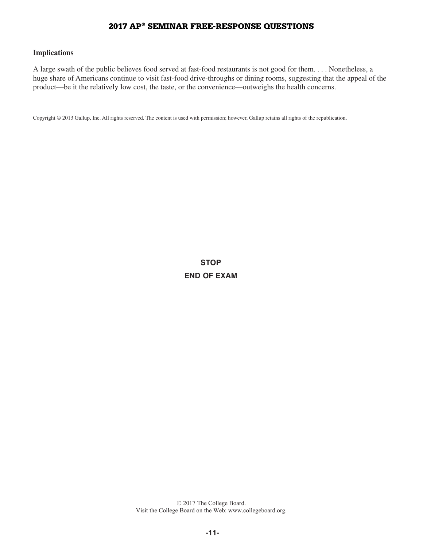#### **Implications**

A large swath of the public believes food served at fast-food restaurants is not good for them.... Nonetheless, a huge share of Americans continue to visit fast-food drive-throughs or dining rooms, suggesting that the appeal of the product—be it the relatively low cost, the taste, or the convenience—outweighs the health concerns.

Copyright © 2013 Gallup, Inc. All rights reserved. The content is used with permission; however, Gallup retains all rights of the republication.

**STOP END OF EXAM**